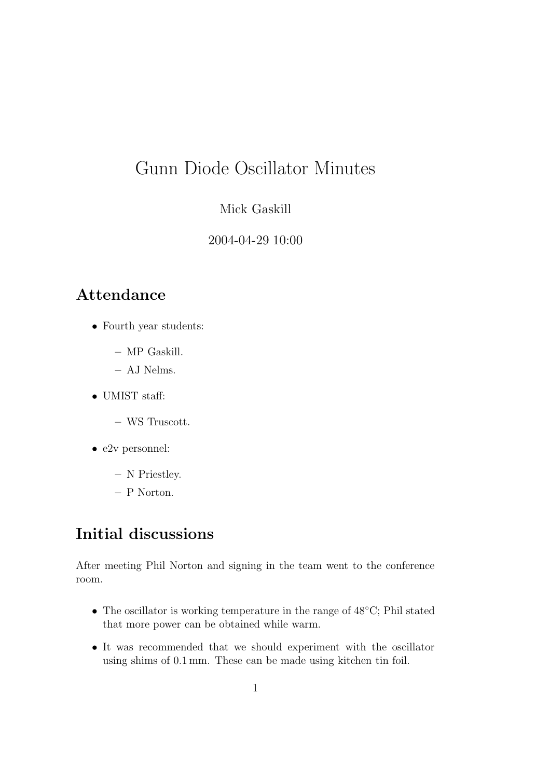# Gunn Diode Oscillator Minutes

#### Mick Gaskill

#### 2004-04-29 10:00

### Attendance

- Fourth year students:
	- MP Gaskill.
	- AJ Nelms.
- UMIST staff:
	- WS Truscott.
- e2v personnel:
	- N Priestley.
	- P Norton.

## Initial discussions

After meeting Phil Norton and signing in the team went to the conference room.

- The oscillator is working temperature in the range of 48◦C; Phil stated that more power can be obtained while warm.
- It was recommended that we should experiment with the oscillator using shims of 0.1 mm. These can be made using kitchen tin foil.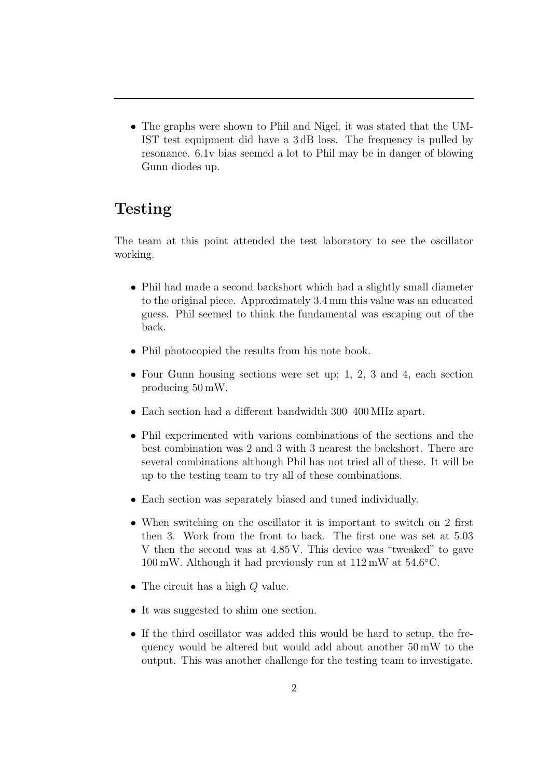• The graphs were shown to Phil and Nigel, it was stated that the UM-IST test equipment did have a 3 dB loss. The frequency is pulled by resonance. 6.1v bias seemed a lot to Phil may be in danger of blowing Gunn diodes up.

## Testing

The team at this point attended the test laboratory to see the oscillator working.

- Phil had made a second backshort which had a slightly small diameter to the original piece. Approximately 3.4 mm this value was an educated guess. Phil seemed to think the fundamental was escaping out of the back.
- Phil photocopied the results from his note book.
- Four Gunn housing sections were set up; 1, 2, 3 and 4, each section producing 50 mW.
- Each section had a different bandwidth 300–400 MHz apart.
- Phil experimented with various combinations of the sections and the best combination was 2 and 3 with 3 nearest the backshort. There are several combinations although Phil has not tried all of these. It will be up to the testing team to try all of these combinations.
- Each section was separately biased and tuned individually.
- When switching on the oscillator it is important to switch on 2 first then 3. Work from the front to back. The first one was set at 5.03 V then the second was at 4.85 V. This device was "tweaked" to gave  $100 \,\mathrm{mW}$ . Although it had previously run at  $112 \,\mathrm{mW}$  at  $54.6 \,^{\circ}\mathrm{C}$ .
- The circuit has a high Q value.
- It was suggested to shim one section.
- If the third oscillator was added this would be hard to setup, the frequency would be altered but would add about another 50 mW to the output. This was another challenge for the testing team to investigate.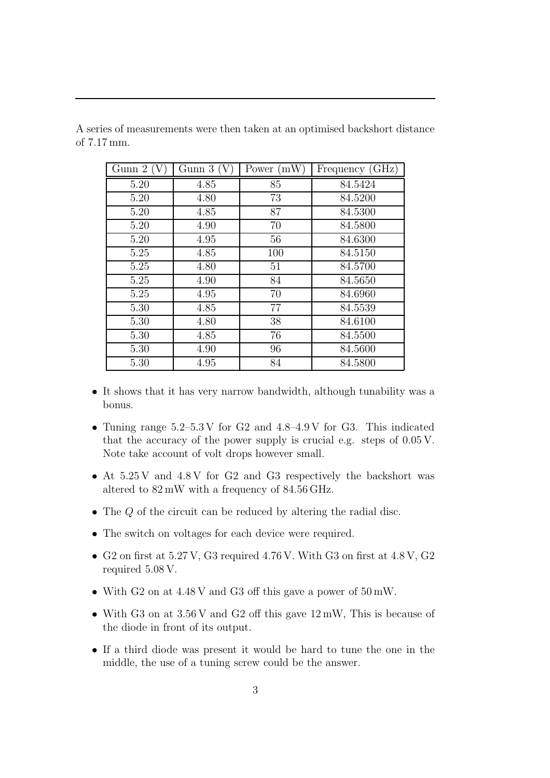| Gunn 2 (V) | Gunn $3(V)$ | Power $(mW)$ | Frequency (GHz) |
|------------|-------------|--------------|-----------------|
| 5.20       | 4.85        | 85           | 84.5424         |
| 5.20       | 4.80        | 73           | 84.5200         |
| 5.20       | 4.85        | 87           | 84.5300         |
| 5.20       | 4.90        | 70           | 84.5800         |
| 5.20       | 4.95        | 56           | 84.6300         |
| 5.25       | 4.85        | 100          | 84.5150         |
| 5.25       | 4.80        | 51           | 84.5700         |
| 5.25       | 4.90        | 84           | 84.5650         |
| 5.25       | 4.95        | 70           | 84.6960         |
| 5.30       | 4.85        | 77           | 84.5539         |
| 5.30       | 4.80        | 38           | 84.6100         |
| 5.30       | 4.85        | 76           | 84.5500         |
| 5.30       | 4.90        | 96           | 84.5600         |
| 5.30       | 4.95        | 84           | 84.5800         |

A series of measurements were then taken at an optimised backshort distance of 7.17 mm.

- It shows that it has very narrow bandwidth, although tunability was a bonus.
- Tuning range 5.2–5.3 V for G2 and 4.8–4.9 V for G3. This indicated that the accuracy of the power supply is crucial e.g. steps of 0.05 V. Note take account of volt drops however small.
- At 5.25 V and 4.8 V for G2 and G3 respectively the backshort was altered to 82 mW with a frequency of 84.56 GHz.
- The Q of the circuit can be reduced by altering the radial disc.
- The switch on voltages for each device were required.
- G2 on first at 5.27 V, G3 required 4.76 V. With G3 on first at 4.8 V, G2 required 5.08 V.
- With G<sub>2</sub> on at  $4.48$  V and G<sub>3</sub> off this gave a power of  $50 \text{ mW}$ .
- With G3 on at  $3.56$  V and G2 off this gave  $12 \text{ mW}$ , This is because of the diode in front of its output.
- If a third diode was present it would be hard to tune the one in the middle, the use of a tuning screw could be the answer.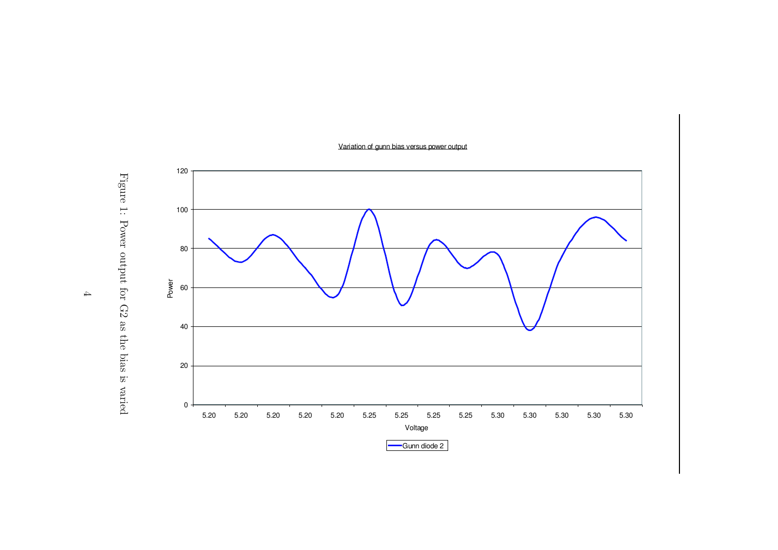Variation of gunn bias versus power output



Figure  $\overline{1}$ : Power output for G<sub>2</sub> as the bias is varied